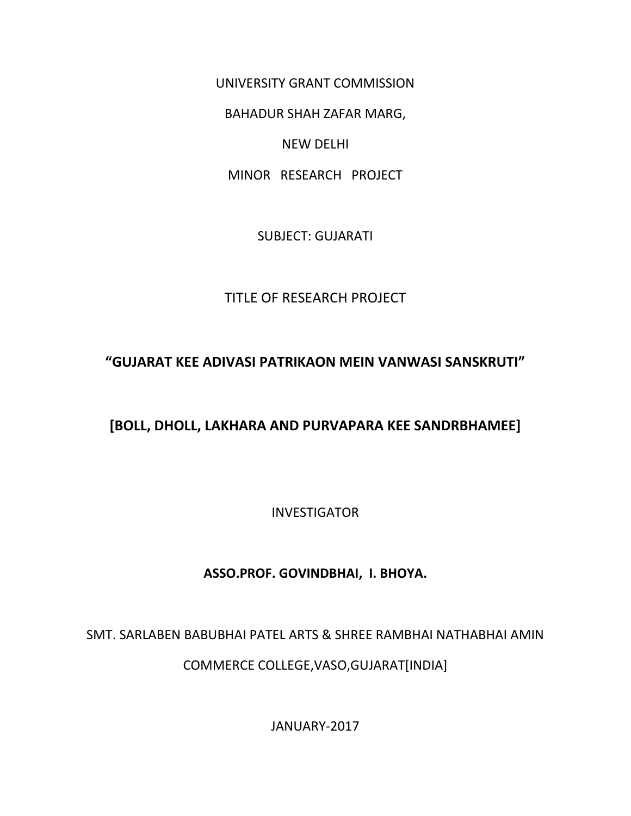UNIVERSITY GRANT COMMISSION

BAHADUR SHAH ZAFAR MARG,

NEW DELHI

MINOR RESEARCH PROJECT

SUBJECT: GUJARATI

## TITLE OF RESEARCH PROJECT

# **"GUJARAT KEE ADIVASI PATRIKAON MEIN VANWASI SANSKRUTI"**

# **[BOLL, DHOLL, LAKHARA AND PURVAPARA KEE SANDRBHAMEE]**

INVESTIGATOR

## **ASSO.PROF. GOVINDBHAI, I. BHOYA.**

#### SMT. SARLABEN BABUBHAI PATEL ARTS & SHREE RAMBHAI NATHABHAI AMIN

COMMERCE COLLEGE,VASO,GUJARAT[INDIA]

JANUARY-2017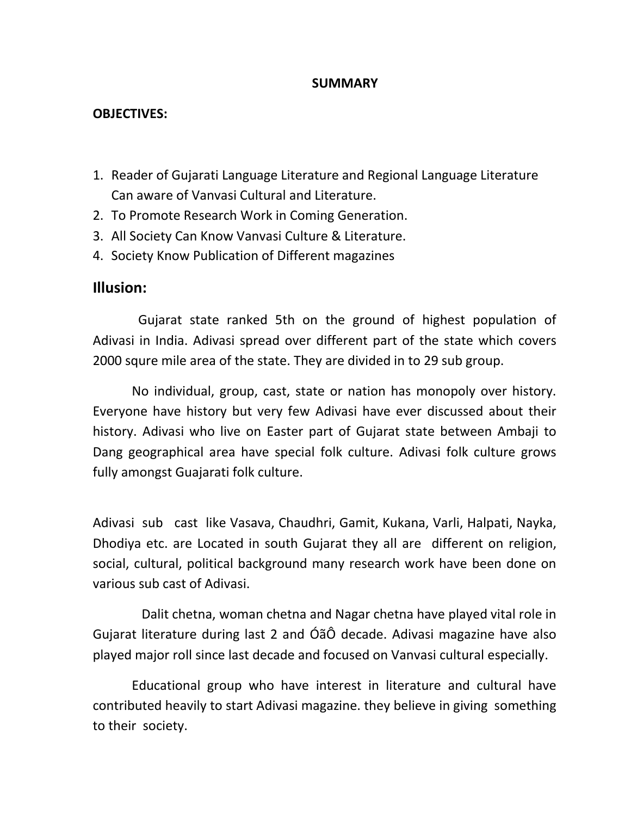#### **SUMMARY**

#### **OBJECTIVES:**

- 1. Reader of Gujarati Language Literature and Regional Language Literature Can aware of Vanvasi Cultural and Literature.
- 2. To Promote Research Work in Coming Generation.
- 3. All Society Can Know Vanvasi Culture & Literature.
- 4. Society Know Publication of Different magazines

### **Illusion:**

 Gujarat state ranked 5th on the ground of highest population of Adivasi in India. Adivasi spread over different part of the state which covers 2000 squre mile area of the state. They are divided in to 29 sub group.

 No individual, group, cast, state or nation has monopoly over history. Everyone have history but very few Adivasi have ever discussed about their history. Adivasi who live on Easter part of Gujarat state between Ambaji to Dang geographical area have special folk culture. Adivasi folk culture grows fully amongst Guajarati folk culture.

Adivasi sub cast like Vasava, Chaudhri, Gamit, Kukana, Varli, Halpati, Nayka, Dhodiya etc. are Located in south Gujarat they all are different on religion, social, cultural, political background many research work have been done on various sub cast of Adivasi.

 Dalit chetna, woman chetna and Nagar chetna have played vital role in Gujarat literature during last 2 and ÓãÔ decade. Adivasi magazine have also played major roll since last decade and focused on Vanvasi cultural especially.

 Educational group who have interest in literature and cultural have contributed heavily to start Adivasi magazine. they believe in giving something to their society.